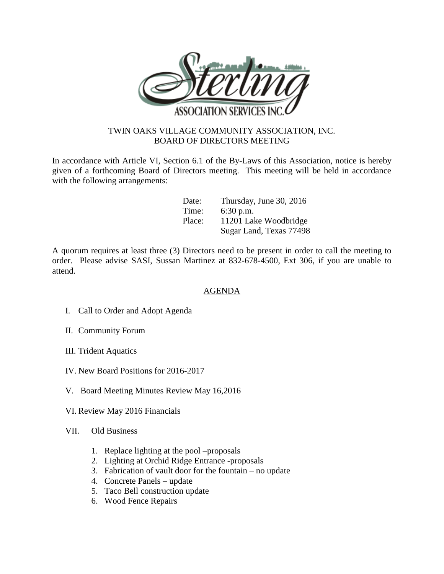

## TWIN OAKS VILLAGE COMMUNITY ASSOCIATION, INC. BOARD OF DIRECTORS MEETING

In accordance with Article VI, Section 6.1 of the By-Laws of this Association, notice is hereby given of a forthcoming Board of Directors meeting. This meeting will be held in accordance with the following arrangements:

| Date:  | Thursday, June 30, 2016 |
|--------|-------------------------|
| Time:  | $6:30$ p.m.             |
| Place: | 11201 Lake Woodbridge   |
|        | Sugar Land, Texas 77498 |

A quorum requires at least three (3) Directors need to be present in order to call the meeting to order. Please advise SASI, Sussan Martinez at 832-678-4500, Ext 306, if you are unable to attend.

## AGENDA

- I. Call to Order and Adopt Agenda
- II. Community Forum
- III. Trident Aquatics
- IV. New Board Positions for 2016-2017
- V. Board Meeting Minutes Review May 16,2016
- VI. Review May 2016 Financials
- VII. Old Business
	- 1. Replace lighting at the pool –proposals
	- 2. Lighting at Orchid Ridge Entrance -proposals
	- 3. Fabrication of vault door for the fountain no update
	- 4. Concrete Panels update
	- 5. Taco Bell construction update
	- 6. Wood Fence Repairs